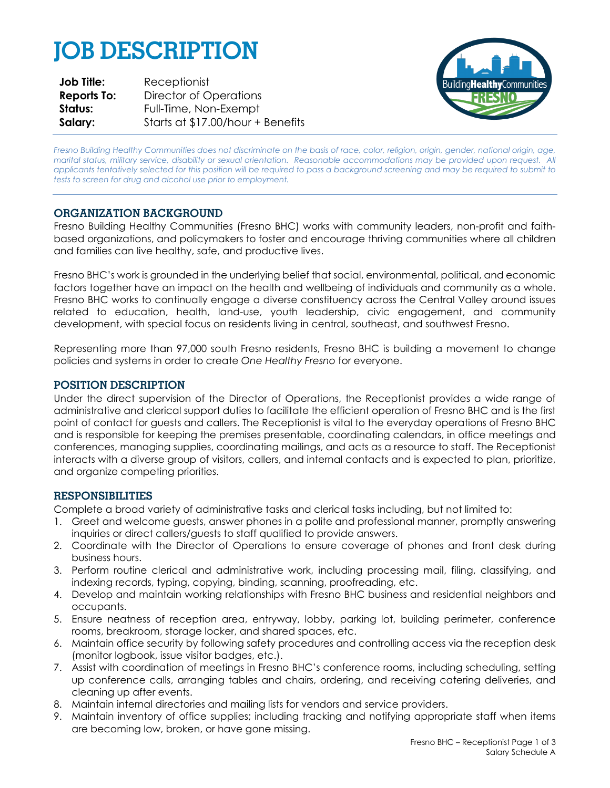# **JOB DESCRIPTION**

| <b>Job Title:</b>  | Receptionist                      |
|--------------------|-----------------------------------|
| <b>Reports To:</b> | Director of Operations            |
| Status:            | Full-Time, Non-Exempt             |
| Salary:            | Starts at \$17.00/hour + Benefits |



*Fresno Building Healthy Communities does not discriminate on the basis of race, color, religion, origin, gender, national origin, age, marital status, military service, disability or sexual orientation. Reasonable accommodations may be provided upon request. All applicants tentatively selected for this position will be required to pass a background screening and may be required to submit to tests to screen for drug and alcohol use prior to employment.*

# **ORGANIZATION BACKGROUND**

Fresno Building Healthy Communities (Fresno BHC) works with community leaders, non-profit and faithbased organizations, and policymakers to foster and encourage thriving communities where all children and families can live healthy, safe, and productive lives.

Fresno BHC's work is grounded in the underlying belief that social, environmental, political, and economic factors together have an impact on the health and wellbeing of individuals and community as a whole. Fresno BHC works to continually engage a diverse constituency across the Central Valley around issues related to education, health, land-use, youth leadership, civic engagement, and community development, with special focus on residents living in central, southeast, and southwest Fresno.

Representing more than 97,000 south Fresno residents, Fresno BHC is building a movement to change policies and systems in order to create *One Healthy Fresno* for everyone.

## **POSITION DESCRIPTION**

Under the direct supervision of the Director of Operations, the Receptionist provides a wide range of administrative and clerical support duties to facilitate the efficient operation of Fresno BHC and is the first point of contact for guests and callers. The Receptionist is vital to the everyday operations of Fresno BHC and is responsible for keeping the premises presentable, coordinating calendars, in office meetings and conferences, managing supplies, coordinating mailings, and acts as a resource to staff. The Receptionist interacts with a diverse group of visitors, callers, and internal contacts and is expected to plan, prioritize, and organize competing priorities.

### **RESPONSIBILITIES**

Complete a broad variety of administrative tasks and clerical tasks including, but not limited to:

- 1. Greet and welcome guests, answer phones in a polite and professional manner, promptly answering inquiries or direct callers/guests to staff qualified to provide answers.
- 2. Coordinate with the Director of Operations to ensure coverage of phones and front desk during business hours.
- 3. Perform routine clerical and administrative work, including processing mail, filing, classifying, and indexing records, typing, copying, binding, scanning, proofreading, etc.
- 4. Develop and maintain working relationships with Fresno BHC business and residential neighbors and occupants.
- 5. Ensure neatness of reception area, entryway, lobby, parking lot, building perimeter, conference rooms, breakroom, storage locker, and shared spaces, etc.
- 6. Maintain office security by following safety procedures and controlling access via the reception desk (monitor logbook, issue visitor badges, etc.).
- 7. Assist with coordination of meetings in Fresno BHC's conference rooms, including scheduling, setting up conference calls, arranging tables and chairs, ordering, and receiving catering deliveries, and cleaning up after events.
- 8. Maintain internal directories and mailing lists for vendors and service providers.
- 9. Maintain inventory of office supplies; including tracking and notifying appropriate staff when items are becoming low, broken, or have gone missing.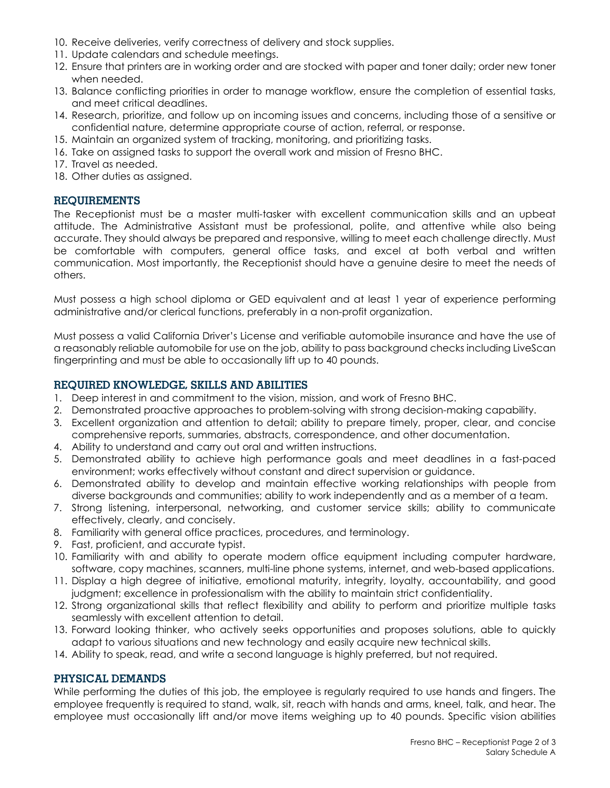- 10. Receive deliveries, verify correctness of delivery and stock supplies.
- 11. Update calendars and schedule meetings.
- 12. Ensure that printers are in working order and are stocked with paper and toner daily; order new toner when needed.
- 13. Balance conflicting priorities in order to manage workflow, ensure the completion of essential tasks, and meet critical deadlines.
- 14. Research, prioritize, and follow up on incoming issues and concerns, including those of a sensitive or confidential nature, determine appropriate course of action, referral, or response.
- 15. Maintain an organized system of tracking, monitoring, and prioritizing tasks.
- 16. Take on assigned tasks to support the overall work and mission of Fresno BHC.
- 17. Travel as needed.
- 18. Other duties as assigned.

# **REQUIREMENTS**

The Receptionist must be a master multi-tasker with excellent communication skills and an upbeat attitude. The Administrative Assistant must be professional, polite, and attentive while also being accurate. They should always be prepared and responsive, willing to meet each challenge directly. Must be comfortable with computers, general office tasks, and excel at both verbal and written communication. Most importantly, the Receptionist should have a genuine desire to meet the needs of others.

Must possess a high school diploma or GED equivalent and at least 1 year of experience performing administrative and/or clerical functions, preferably in a non-profit organization.

Must possess a valid California Driver's License and verifiable automobile insurance and have the use of a reasonably reliable automobile for use on the job, ability to pass background checks including LiveScan fingerprinting and must be able to occasionally lift up to 40 pounds.

## **REQUIRED KNOWLEDGE, SKILLS AND ABILITIES**

- 1. Deep interest in and commitment to the vision, mission, and work of Fresno BHC.
- 2. Demonstrated proactive approaches to problem-solving with strong decision-making capability.
- 3. Excellent organization and attention to detail; ability to prepare timely, proper, clear, and concise comprehensive reports, summaries, abstracts, correspondence, and other documentation.
- 4. Ability to understand and carry out oral and written instructions.
- 5. Demonstrated ability to achieve high performance goals and meet deadlines in a fast-paced environment; works effectively without constant and direct supervision or guidance.
- 6. Demonstrated ability to develop and maintain effective working relationships with people from diverse backgrounds and communities; ability to work independently and as a member of a team.
- 7. Strong listening, interpersonal, networking, and customer service skills; ability to communicate effectively, clearly, and concisely.
- 8. Familiarity with general office practices, procedures, and terminology.
- 9. Fast, proficient, and accurate typist.
- 10. Familiarity with and ability to operate modern office equipment including computer hardware, software, copy machines, scanners, multi-line phone systems, internet, and web-based applications.
- 11. Display a high degree of initiative, emotional maturity, integrity, loyalty, accountability, and good judgment; excellence in professionalism with the ability to maintain strict confidentiality.
- 12. Strong organizational skills that reflect flexibility and ability to perform and prioritize multiple tasks seamlessly with excellent attention to detail.
- 13. Forward looking thinker, who actively seeks opportunities and proposes solutions, able to quickly adapt to various situations and new technology and easily acquire new technical skills.
- 14. Ability to speak, read, and write a second language is highly preferred, but not required.

### **PHYSICAL DEMANDS**

While performing the duties of this job, the employee is regularly required to use hands and fingers. The employee frequently is required to stand, walk, sit, reach with hands and arms, kneel, talk, and hear. The employee must occasionally lift and/or move items weighing up to 40 pounds. Specific vision abilities